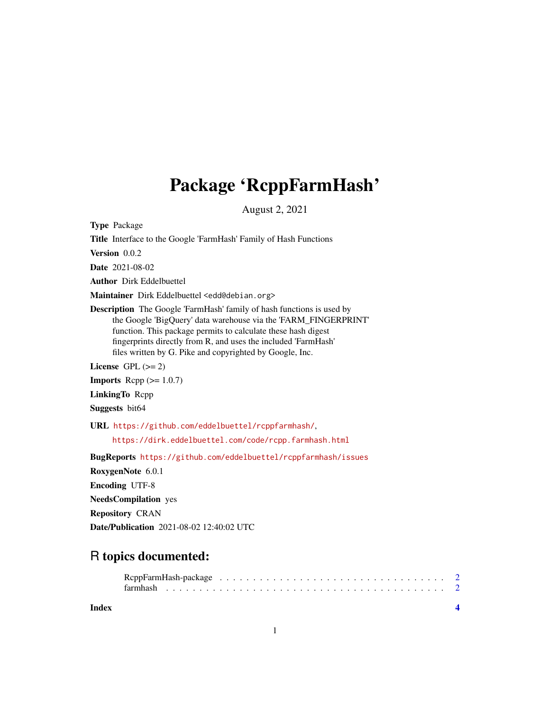## Package 'RcppFarmHash'

August 2, 2021

Type Package

Title Interface to the Google 'FarmHash' Family of Hash Functions

Version 0.0.2

Date 2021-08-02

Author Dirk Eddelbuettel

Maintainer Dirk Eddelbuettel <edd@debian.org>

Description The Google 'FarmHash' family of hash functions is used by the Google 'BigQuery' data warehouse via the 'FARM\_FINGERPRINT' function. This package permits to calculate these hash digest fingerprints directly from R, and uses the included 'FarmHash' files written by G. Pike and copyrighted by Google, Inc.

License GPL  $(>= 2)$ 

**Imports** Rcpp  $(>= 1.0.7)$ 

LinkingTo Rcpp

Suggests bit64

URL <https://github.com/eddelbuettel/rcppfarmhash/>,

<https://dirk.eddelbuettel.com/code/rcpp.farmhash.html>

BugReports <https://github.com/eddelbuettel/rcppfarmhash/issues>

RoxygenNote 6.0.1

Encoding UTF-8

NeedsCompilation yes

Repository CRAN

Date/Publication 2021-08-02 12:40:02 UTC

### R topics documented:

#### **Index** [4](#page-3-0)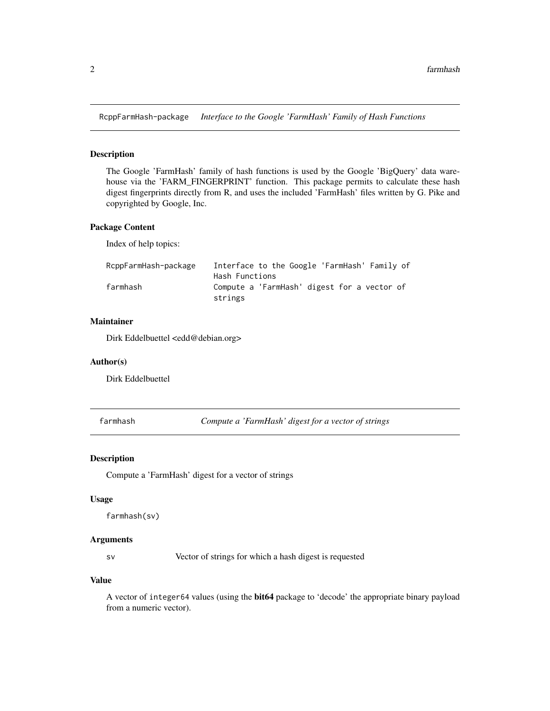<span id="page-1-0"></span>RcppFarmHash-package *Interface to the Google 'FarmHash' Family of Hash Functions*

#### Description

The Google 'FarmHash' family of hash functions is used by the Google 'BigQuery' data warehouse via the 'FARM\_FINGERPRINT' function. This package permits to calculate these hash digest fingerprints directly from R, and uses the included 'FarmHash' files written by G. Pike and copyrighted by Google, Inc.

#### Package Content

Index of help topics:

| RcppFarmHash-package | Interface to the Google 'FarmHash' Family of |
|----------------------|----------------------------------------------|
|                      | Hash Functions                               |
| farmhash             | Compute a 'FarmHash' digest for a vector of  |
|                      | strings                                      |

#### Maintainer

Dirk Eddelbuettel <edd@debian.org>

#### Author(s)

Dirk Eddelbuettel

farmhash *Compute a 'FarmHash' digest for a vector of strings*

#### Description

Compute a 'FarmHash' digest for a vector of strings

#### Usage

```
farmhash(sv)
```
#### Arguments

sv Vector of strings for which a hash digest is requested

#### Value

A vector of integer64 values (using the bit64 package to 'decode' the appropriate binary payload from a numeric vector).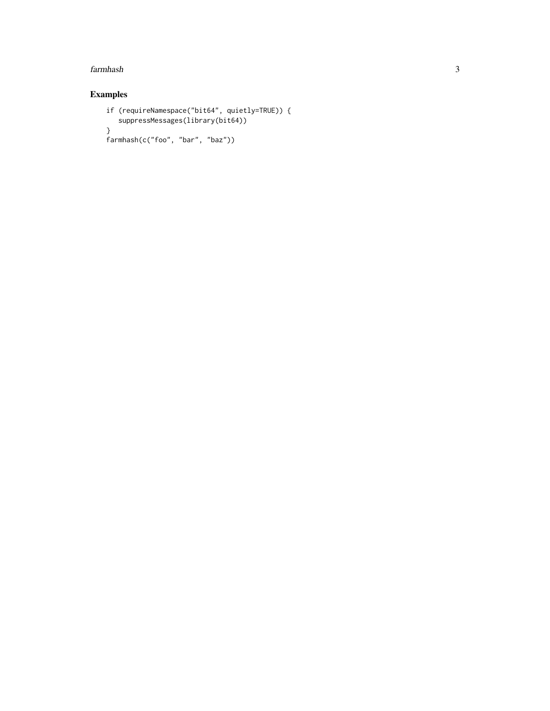#### farmhash 3

#### Examples

```
if (requireNamespace("bit64", quietly=TRUE)) {
   suppressMessages(library(bit64))
}
farmhash(c("foo", "bar", "baz"))
```